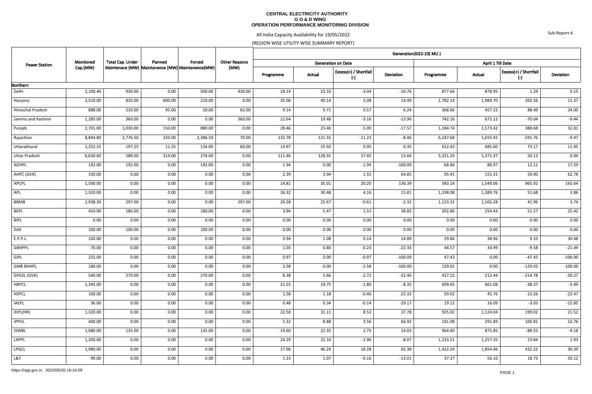#### **CENTRAL ELECTRICITY AUTHORITY G O & D WING OPERATION PERFORMANCE MONITORING DIVISION**

# All India Capacity Availability for 19/05/2022

(REGION WISE UTILITY WISE SUMMARY REPORT)

| <b>Power Station</b> | Monitored | <b>Total Cap. Under</b> | Planned | Forced<br>Maintenace (MW) Maintanence (MW) Maintanence (MW) | <b>Other Reasons</b> | Generation2022-23(MU) |        |                                |           |           |                   |                                       |           |  |  |
|----------------------|-----------|-------------------------|---------|-------------------------------------------------------------|----------------------|-----------------------|--------|--------------------------------|-----------|-----------|-------------------|---------------------------------------|-----------|--|--|
|                      |           |                         |         |                                                             |                      |                       |        | <b>Generation on Date</b>      |           |           | April 1 Till Date |                                       |           |  |  |
|                      | Cap.(MW)  |                         |         |                                                             | (MW)                 | Programme             | Actual | Excess(+) / Shortfall<br>$(-)$ | Deviation | Programme | Actual            | Excess(+) / Shortfall<br>$(\text{-})$ | Deviation |  |  |
| Northern             |           |                         |         |                                                             |                      |                       |        |                                |           |           |                   |                                       |           |  |  |
| Delhi                | 2,100.40  | 930.00                  | 0.00    | 500.00                                                      | 430.00               | 18.14                 | 15.10  | $-3.04$                        | $-16.76$  | 877.66    | 878.95            | 1.29                                  | 0.15      |  |  |
| Haryana              | 2,510.00  | 810.00                  | 600.00  | 210.00                                                      | 0.00                 | 35.06                 | 40.14  | 5.08                           | 14.49     | 1,782.14  | 1,984.70          | 202.56                                | 11.37     |  |  |
| Himachal Pradesh     | 888.00    | 210.00                  | 95.00   | 50.00                                                       | 65.00                | 9.14                  | 9.71   | 0.57                           | 6.24      | 368.66    | 457.15            | 88.49                                 | 24.00     |  |  |
| Jammu and Kashmir    | 1,285.00  | 360.00                  | 0.00    | 0.00                                                        | 360.00               | 22.64                 | 19.48  | $-3.16$                        | $-13.96$  | 742.16    | 672.12            | $-70.04$                              | $-9.44$   |  |  |
| Punjab               | 2,701.00  | 1,030.00                | 150.00  | 880.00                                                      | 0.00                 | 28.46                 | 23.46  | $-5.00$                        | $-17.57$  | 1,184.74  | 1,573.42          | 388.68                                | 32.81     |  |  |
| Rajasthan            | 8,844.80  | 2,776.50                | 320.00  | 2,386.50                                                    | 70.00                | 132.78                | 121.55 | $-11.23$                       | $-8.46$   | 6,247.68  | 5,655.92          | $-591.76$                             | $-9.47$   |  |  |
| Uttarakhand          | 1,252.15  | 197.25                  | 11.25   | 126.00                                                      | 60.00                | 14.97                 | 15.92  | 0.95                           | 6.35      | 612.43    | 685.60            | 73.17                                 | 11.95     |  |  |
| <b>Uttar Pradesh</b> | 6,630.60  | 588.00                  | 314.00  | 274.00                                                      | 0.00                 | 111.46                | 128.91 | 17.45                          | 15.66     | 5,321.24  | 5,371.37          | 50.13                                 | 0.94      |  |  |
| ADHPL                | 192.00    | 192.00                  | 0.00    | 192.00                                                      | 0.00                 | 1.94                  | 0.00   | $-1.94$                        | $-100.00$ | 68.86     | 80.97             | 12.11                                 | 17.59     |  |  |
| AHPC (GVK)           | 330.00    | 0.00                    | 0.00    | 0.00                                                        | 0.00                 | 2.39                  | 3.94   | 1.55                           | 64.85     | 95.41     | 155.31            | 59.90                                 | 62.78     |  |  |
| <b>APCPL</b>         | 1,500.00  | 0.00                    | 0.00    | 0.00                                                        | 0.00                 | 14.81                 | 35.01  | 20.20                          | 136.39    | 583.14    | 1,549.06          | 965.92                                | 165.64    |  |  |
| APL                  | 1,320.00  | $0.00\,$                | 0.00    | 0.00                                                        | 0.00                 | 26.32                 | 30.48  | 4.16                           | 15.81     | 1,338.08  | 1,389.76          | 51.68                                 | 3.86      |  |  |
| BBMB                 | 2,938.30  | 297.00                  | 0.00    | 0.00                                                        | 297.00               | 26.28                 | 25.67  | $-0.61$                        | $-2.32$   | 1,123.32  | 1,165.28          | 41.96                                 | 3.74      |  |  |
| <b>BEPL</b>          | 450.00    | 180.00                  | 0.00    | 180.00                                                      | 0.00                 | 3.94                  | 5.47   | 1.53                           | 38.83     | 202.86    | 254.43            | 51.57                                 | 25.42     |  |  |
| BIPL                 | 0.00      | 0.00                    | 0.00    | 0.00                                                        | 0.00                 | 0.00                  | 0.00   | 0.00                           | 0.00      | 0.00      | 0.00              | 0.00                                  | 0.00      |  |  |
| DAE                  | 100.00    | 100.00                  | 0.00    | 100.00                                                      | 0.00                 | 0.00                  | 0.00   | 0.00                           | 0.00      | 0.00      | 0.00              | 0.00                                  | 0.00      |  |  |
| E.P.P.L.             | 100.00    | 0.00                    | 0.00    | 0.00                                                        | 0.00                 | 0.94                  | 1.08   | 0.14                           | 14.89     | 29.86     | 38.96             | 9.10                                  | 30.48     |  |  |
| <b>GBHPPL</b>        | 70.00     | 0.00                    | 0.00    | 0.00                                                        | 0.00                 | 1.03                  | 0.80   | $-0.23$                        | $-22.33$  | 44.57     | 34.99             | $-9.58$                               | $-21.49$  |  |  |
| <b>GIPL</b>          | 225.00    | 0.00                    | 0.00    | 0.00                                                        | 0.00                 | 0.97                  | 0.00   | $-0.97$                        | $-100.00$ | 47.43     | 0.00              | $-47.43$                              | $-100.00$ |  |  |
| <b>GMR BHHPL</b>     | 180.00    | 0.00                    | 0.00    | 0.00                                                        | 0.00                 | 2.58                  | 0.00   | $-2.58$                        | $-100.00$ | 129.02    | 0.00              | $-129.02$                             | $-100.00$ |  |  |
| GPGSL (GVK)          | 540.00    | 270.00                  | 0.00    | 270.00                                                      | 0.00                 | 8.38                  | 5.66   | $-2.72$                        | $-32.46$  | 427.22    | 212.44            | $-214.78$                             | $-50.27$  |  |  |
| <b>HBPCL</b>         | 1,345.00  | 0.00                    | 0.00    | 0.00                                                        | 0.00                 | 21.55                 | 19.75  | $-1.80$                        | $-8.35$   | 699.45    | 661.08            | $-38.37$                              | $-5.49$   |  |  |
| <b>HSPCL</b>         | 100.00    | 0.00                    | 0.00    | 0.00                                                        | 0.00                 | 1.58                  | 1.18   | $-0.40$                        | $-25.32$  | 59.02     | 45.76             | $-13.26$                              | $-22.47$  |  |  |
| <b>IAEPL</b>         | 36.00     | 0.00                    | 0.00    | 0.00                                                        | 0.00                 | 0.48                  | 0.34   | $-0.14$                        | $-29.17$  | 19.12     | 16.09             | $-3.03$                               | $-15.85$  |  |  |
| JhPL(HR)             | 1,320.00  | 0.00                    | 0.00    | 0.00                                                        | 0.00                 | 22.58                 | 31.11  | 8.53                           | 37.78     | 925.02    | 1,124.04          | 199.02                                | 21.52     |  |  |
| <b>JPPVL</b>         | 400.00    | 0.00                    | 0.00    | 0.00                                                        | 0.00                 | 5.32                  | 8.88   | 3.56                           | 66.92     | 191.08    | 291.89            | 100.81                                | 52.76     |  |  |
| JSWBL                | 1,080.00  | 135.00                  | 0.00    | 135.00                                                      | 0.00                 | 19.60                 | 22.35  | 2.75                           | 14.03     | 964.40    | 875.85            | $-88.55$                              | $-9.18$   |  |  |
| LAPPL                | 1,200.00  | 0.00                    | 0.00    | 0.00                                                        | 0.00                 | 24.29                 | 22.33  | $-1.96$                        | $-8.07$   | 1,233.51  | 1,257.35          | 23.84                                 | 1.93      |  |  |
| <b>LPGCL</b>         | 1,980.00  | 0.00                    | 0.00    | 0.00                                                        | 0.00                 | 27.96                 | 46.24  | 18.28                          | 65.38     | 1,422.24  | 1,854.46          | 432.22                                | 30.39     |  |  |
| L&T                  | 99.00     | 0.00                    | 0.00    | 0.00                                                        | 0.00                 | 1.23                  | 1.07   | $-0.16$                        | $-13.01$  | 37.37     | 56.10             | 18.73                                 | 50.12     |  |  |

Sub-Report-4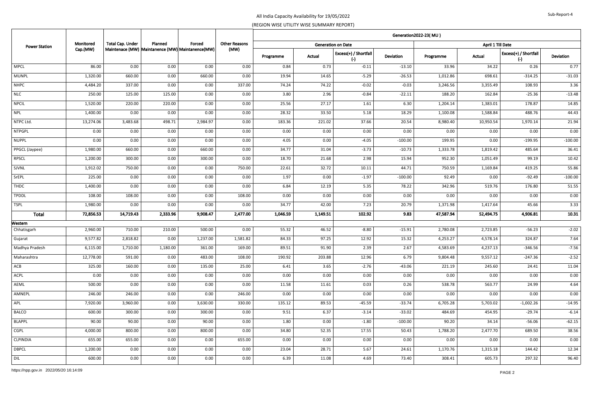| <b>Power Station</b> | Monitored<br>Cap.(MW) | <b>Total Cap. Under</b> | Planned  | Forced<br>Maintenace (MW) Maintanence (MW) Maintanence (MW) |                      | Generation2022-23(MU) |          |                                |                  |                   |           |                                    |                  |  |  |
|----------------------|-----------------------|-------------------------|----------|-------------------------------------------------------------|----------------------|-----------------------|----------|--------------------------------|------------------|-------------------|-----------|------------------------------------|------------------|--|--|
|                      |                       |                         |          |                                                             | <b>Other Reasons</b> |                       |          | <b>Generation on Date</b>      |                  | April 1 Till Date |           |                                    |                  |  |  |
|                      |                       |                         |          |                                                             | (MW)                 | Programme             | Actual   | Excess(+) / Shortfall<br>$(-)$ | <b>Deviation</b> | Programme         | Actual    | Excess(+) / Shortfall<br>$(\cdot)$ | <b>Deviation</b> |  |  |
| <b>MPCL</b>          | 86.00                 | 0.00                    | 0.00     | 0.00                                                        | 0.00                 | 0.84                  | 0.73     | $-0.11$                        | $-13.10$         | 33.96             | 34.22     | 0.26                               | 0.77             |  |  |
| <b>MUNPL</b>         | 1,320.00              | 660.00                  | 0.00     | 660.00                                                      | 0.00                 | 19.94                 | 14.65    | $-5.29$                        | $-26.53$         | 1,012.86          | 698.61    | $-314.25$                          | $-31.03$         |  |  |
| <b>NHPC</b>          | 4,484.20              | 337.00                  | 0.00     | 0.00                                                        | 337.00               | 74.24                 | 74.22    | $-0.02$                        | $-0.03$          | 3,246.56          | 3,355.49  | 108.93                             | 3.36             |  |  |
| <b>NLC</b>           | 250.00                | 125.00                  | 125.00   | 0.00                                                        | 0.00                 | 3.80                  | 2.96     | $-0.84$                        | $-22.11$         | 188.20            | 162.84    | $-25.36$                           | $-13.48$         |  |  |
| <b>NPCIL</b>         | 1,520.00              | 220.00                  | 220.00   | 0.00                                                        | 0.00                 | 25.56                 | 27.17    | 1.61                           | 6.30             | 1,204.14          | 1,383.01  | 178.87                             | 14.85            |  |  |
| <b>NPL</b>           | 1,400.00              | 0.00                    | 0.00     | 0.00                                                        | 0.00                 | 28.32                 | 33.50    | 5.18                           | 18.29            | 1,100.08          | 1,588.84  | 488.76                             | 44.43            |  |  |
| NTPC Ltd.            | 13,274.06             | 3,483.68                | 498.71   | 2,984.97                                                    | 0.00                 | 183.36                | 221.02   | 37.66                          | 20.54            | 8,980.40          | 10,950.54 | 1,970.14                           | 21.94            |  |  |
| <b>NTPGPL</b>        | 0.00                  | 0.00                    | 0.00     | 0.00                                                        | 0.00                 | 0.00                  | 0.00     | 0.00                           | 0.00             | 0.00              | 0.00      | 0.00                               | 0.00             |  |  |
| <b>NUPPL</b>         | 0.00                  | 0.00                    | 0.00     | 0.00                                                        | 0.00                 | 4.05                  | 0.00     | $-4.05$                        | $-100.00$        | 199.95            | 0.00      | $-199.95$                          | $-100.00$        |  |  |
| PPGCL (Jaypee)       | 1,980.00              | 660.00                  | 0.00     | 660.00                                                      | 0.00                 | 34.77                 | 31.04    | $-3.73$                        | $-10.73$         | 1,333.78          | 1,819.42  | 485.64                             | 36.41            |  |  |
| <b>RPSCL</b>         | 1,200.00              | 300.00                  | 0.00     | 300.00                                                      | 0.00                 | 18.70                 | 21.68    | 2.98                           | 15.94            | 952.30            | 1,051.49  | 99.19                              | 10.42            |  |  |
| SJVNL                | 1,912.02              | 750.00                  | 0.00     | 0.00                                                        | 750.00               | 22.61                 | 32.72    | 10.11                          | 44.71            | 750.59            | 1,169.84  | 419.25                             | 55.86            |  |  |
| SrEPL                | 225.00                | 0.00                    | 0.00     | 0.00                                                        | 0.00                 | 1.97                  | 0.00     | $-1.97$                        | $-100.00$        | 92.49             | 0.00      | $-92.49$                           | $-100.00$        |  |  |
| THDC                 | 1,400.00              | 0.00                    | 0.00     | 0.00                                                        | 0.00                 | 6.84                  | 12.19    | 5.35                           | 78.22            | 342.96            | 519.76    | 176.80                             | 51.55            |  |  |
| <b>TPDDL</b>         | 108.00                | 108.00                  | 0.00     | 0.00                                                        | 108.00               | 0.00                  | 0.00     | 0.00                           | 0.00             | 0.00              | 0.00      | 0.00                               | $0.00\,$         |  |  |
| <b>TSPL</b>          | 1,980.00              | 0.00                    | 0.00     | 0.00                                                        | 0.00                 | 34.77                 | 42.00    | 7.23                           | 20.79            | 1,371.98          | 1,417.64  | 45.66                              | 3.33             |  |  |
| <b>Total</b>         | 72,856.53             | 14,719.43               | 2,333.96 | 9,908.47                                                    | 2,477.00             | 1,046.59              | 1,149.51 | 102.92                         | 9.83             | 47,587.94         | 52,494.75 | 4,906.81                           | 10.31            |  |  |
| Western              |                       |                         |          |                                                             |                      |                       |          |                                |                  |                   |           |                                    |                  |  |  |
| Chhatisgarh          | 2,960.00              | 710.00                  | 210.00   | 500.00                                                      | 0.00                 | 55.32                 | 46.52    | $-8.80$                        | $-15.91$         | 2,780.08          | 2,723.85  | $-56.23$                           | $-2.02$          |  |  |
| Gujarat              | 9,577.82              | 2,818.82                | 0.00     | 1,237.00                                                    | 1,581.82             | 84.33                 | 97.25    | 12.92                          | 15.32            | 4,253.27          | 4,578.14  | 324.87                             | 7.64             |  |  |
| Madhya Pradesh       | 6,115.00              | 1,710.00                | 1,180.00 | 361.00                                                      | 169.00               | 89.51                 | 91.90    | 2.39                           | 2.67             | 4,583.69          | 4,237.13  | $-346.56$                          | $-7.56$          |  |  |
| Maharashtra          | 12,778.00             | 591.00                  | 0.00     | 483.00                                                      | 108.00               | 190.92                | 203.88   | 12.96                          | 6.79             | 9,804.48          | 9,557.12  | $-247.36$                          | $-2.52$          |  |  |
| ACB                  | 325.00                | 160.00                  | 0.00     | 135.00                                                      | 25.00                | 6.41                  | 3.65     | $-2.76$                        | $-43.06$         | 221.19            | 245.60    | 24.41                              | 11.04            |  |  |
| ACPL                 | 0.00                  | 0.00                    | 0.00     | 0.00                                                        | 0.00                 | 0.00                  | 0.00     | 0.00                           | 0.00             | 0.00              | 0.00      | 0.00                               | $0.00\,$         |  |  |
| AEML                 | 500.00                | 0.00                    | 0.00     | 0.00                                                        | 0.00                 | 11.58                 | 11.61    | 0.03                           | 0.26             | 538.78            | 563.77    | 24.99                              | 4.64             |  |  |
| AMNEPL               | 246.00                | 246.00                  | 0.00     | 0.00                                                        | 246.00               | 0.00                  | 0.00     | 0.00                           | 0.00             | 0.00              | 0.00      | 0.00                               | 0.00             |  |  |
| APL                  | 7,920.00              | 3,960.00                | 0.00     | $\overline{3,630.00}$                                       | 330.00               | 135.12                | 89.53    | $-45.59$                       | $-33.74$         | 6,705.28          | 5,703.02  | $-1,002.26$                        | $-14.95$         |  |  |
| <b>BALCO</b>         | 600.00                | 300.00                  | 0.00     | 300.00                                                      | 0.00                 | 9.51                  | 6.37     | $-3.14$                        | $-33.02$         | 484.69            | 454.95    | $-29.74$                           | $-6.14$          |  |  |
| <b>BLAPPL</b>        | 90.00                 | 90.00                   | 0.00     | 90.00                                                       | 0.00                 | 1.80                  | 0.00     | $-1.80$                        | $-100.00$        | 90.20             | 34.14     | $-56.06$                           | $-62.15$         |  |  |
| CGPL                 | 4,000.00              | 800.00                  | 0.00     | 800.00                                                      | $0.00\,$             | 34.80                 | 52.35    | 17.55                          | 50.43            | 1,788.20          | 2,477.70  | 689.50                             | 38.56            |  |  |
| <b>CLPINDIA</b>      | 655.00                | 655.00                  | 0.00     | 0.00                                                        | 655.00               | 0.00                  | 0.00     | 0.00                           | 0.00             | 0.00              | 0.00      | 0.00                               | 0.00             |  |  |
| <b>DBPCL</b>         | 1,200.00              | 0.00                    | 0.00     | 0.00                                                        | 0.00                 | 23.04                 | 28.71    | 5.67                           | 24.61            | 1,170.76          | 1,315.18  | 144.42                             | 12.34            |  |  |
| DIL                  | 600.00                | 0.00                    | 0.00     | 0.00                                                        | 0.00                 | 6.39                  | 11.08    | 4.69                           | 73.40            | 308.41            | 605.73    | 297.32                             | 96.40            |  |  |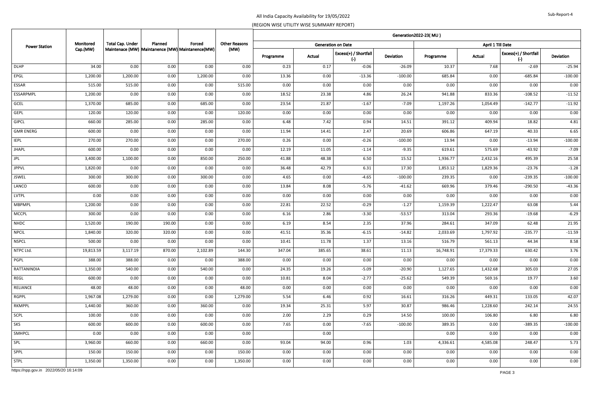| <b>Power Station</b>                   | Monitored |                  | Planned | Forced<br>Maintenace (MW) Maintanence (MW) Maintanence (MW) |                      | Generation2022-23(MU) |        |                                    |           |           |                   |                                |                  |  |  |  |
|----------------------------------------|-----------|------------------|---------|-------------------------------------------------------------|----------------------|-----------------------|--------|------------------------------------|-----------|-----------|-------------------|--------------------------------|------------------|--|--|--|
|                                        |           | Total Cap. Under |         |                                                             | <b>Other Reasons</b> |                       |        | <b>Generation on Date</b>          |           |           | April 1 Till Date |                                |                  |  |  |  |
|                                        | Cap.(MW)  |                  |         |                                                             | (MW)                 | Programme             | Actual | Excess(+) / Shortfall<br>$(\cdot)$ | Deviation | Programme | Actual            | Excess(+) / Shortfall<br>$(-)$ | <b>Deviation</b> |  |  |  |
| <b>DLHP</b>                            | 34.00     | 0.00             | 0.00    | 0.00                                                        | 0.00                 | 0.23                  | 0.17   | $-0.06$                            | $-26.09$  | 10.37     | 7.68              | $-2.69$                        | $-25.94$         |  |  |  |
| EPGL                                   | 1,200.00  | 1,200.00         | 0.00    | 1,200.00                                                    | 0.00                 | 13.36                 | 0.00   | $-13.36$                           | $-100.00$ | 685.84    | 0.00              | $-685.84$                      | $-100.00$        |  |  |  |
| ESSAR                                  | 515.00    | 515.00           | 0.00    | 0.00                                                        | 515.00               | 0.00                  | 0.00   | 0.00                               | 0.00      | 0.00      | 0.00              | 0.00                           | $0.00\,$         |  |  |  |
| ESSARPMPL                              | 1,200.00  | 0.00             | 0.00    | 0.00                                                        | 0.00                 | 18.52                 | 23.38  | 4.86                               | 26.24     | 941.88    | 833.36            | $-108.52$                      | $-11.52$         |  |  |  |
| <b>GCEL</b>                            | 1,370.00  | 685.00           | 0.00    | 685.00                                                      | 0.00                 | 23.54                 | 21.87  | $-1.67$                            | $-7.09$   | 1,197.26  | 1,054.49          | $-142.77$                      | $-11.92$         |  |  |  |
| <b>GEPL</b>                            | 120.00    | 120.00           | 0.00    | 0.00                                                        | 120.00               | 0.00                  | 0.00   | 0.00                               | 0.00      | 0.00      | 0.00              | 0.00                           | $0.00\,$         |  |  |  |
| <b>GIPCL</b>                           | 660.00    | 285.00           | 0.00    | 285.00                                                      | 0.00                 | 6.48                  | 7.42   | 0.94                               | 14.51     | 391.12    | 409.94            | 18.82                          | 4.81             |  |  |  |
| <b>GMR ENERG</b>                       | 600.00    | 0.00             | 0.00    | 0.00                                                        | 0.00                 | 11.94                 | 14.41  | 2.47                               | 20.69     | 606.86    | 647.19            | 40.33                          | 6.65             |  |  |  |
| <b>IEPL</b>                            | 270.00    | 270.00           | 0.00    | 0.00                                                        | 270.00               | 0.26                  | 0.00   | $-0.26$                            | $-100.00$ | 13.94     | 0.00              | $-13.94$                       | $-100.00$        |  |  |  |
| <b>JHAPL</b>                           | 600.00    | 0.00             | 0.00    | 0.00                                                        | 0.00                 | 12.19                 | 11.05  | $-1.14$                            | $-9.35$   | 619.61    | 575.69            | $-43.92$                       | $-7.09$          |  |  |  |
| <b>JPL</b>                             | 3,400.00  | 1,100.00         | 0.00    | 850.00                                                      | 250.00               | 41.88                 | 48.38  | 6.50                               | 15.52     | 1,936.77  | 2,432.16          | 495.39                         | 25.58            |  |  |  |
| <b>JPPVL</b>                           | 1,820.00  | 0.00             | 0.00    | 0.00                                                        | 0.00                 | 36.48                 | 42.79  | 6.31                               | 17.30     | 1,853.12  | 1,829.36          | $-23.76$                       | $-1.28$          |  |  |  |
| <b>JSWEL</b>                           | 300.00    | 300.00           | 0.00    | 300.00                                                      | 0.00                 | 4.65                  | 0.00   | $-4.65$                            | $-100.00$ | 239.35    | 0.00              | $-239.35$                      | $-100.00$        |  |  |  |
| LANCO                                  | 600.00    | 0.00             | 0.00    | 0.00                                                        | 0.00                 | 13.84                 | 8.08   | $-5.76$                            | $-41.62$  | 669.96    | 379.46            | $-290.50$                      | $-43.36$         |  |  |  |
| LVTPL                                  | 0.00      | 0.00             | 0.00    | 0.00                                                        | 0.00                 | 0.00                  | 0.00   | 0.00                               | 0.00      | 0.00      | 0.00              | 0.00                           | 0.00             |  |  |  |
| <b>MBPMPL</b>                          | 1,200.00  | 0.00             | 0.00    | 0.00                                                        | 0.00                 | 22.81                 | 22.52  | $-0.29$                            | $-1.27$   | 1,159.39  | 1,222.47          | 63.08                          | 5.44             |  |  |  |
| <b>MCCPL</b>                           | 300.00    | 0.00             | 0.00    | 0.00                                                        | 0.00                 | 6.16                  | 2.86   | $-3.30$                            | $-53.57$  | 313.04    | 293.36            | $-19.68$                       | $-6.29$          |  |  |  |
| NHDC                                   | 1,520.00  | 190.00           | 190.00  | 0.00                                                        | 0.00                 | 6.19                  | 8.54   | 2.35                               | 37.96     | 284.61    | 347.09            | 62.48                          | 21.95            |  |  |  |
| <b>NPCIL</b>                           | 1,840.00  | 320.00           | 320.00  | 0.00                                                        | 0.00                 | 41.51                 | 35.36  | $-6.15$                            | $-14.82$  | 2,033.69  | 1,797.92          | $-235.77$                      | $-11.59$         |  |  |  |
| <b>NSPCL</b>                           | 500.00    | 0.00             | 0.00    | 0.00                                                        | 0.00                 | 10.41                 | 11.78  | 1.37                               | 13.16     | 516.79    | 561.13            | 44.34                          | 8.58             |  |  |  |
| NTPC Ltd.                              | 19,813.59 | 3,117.19         | 870.00  | 2,102.89                                                    | 144.30               | 347.04                | 385.65 | 38.61                              | 11.13     | 16,748.91 | 17,379.33         | 630.42                         | 3.76             |  |  |  |
| PGPL                                   | 388.00    | 388.00           | 0.00    | 0.00                                                        | 388.00               | 0.00                  | 0.00   | 0.00                               | 0.00      | 0.00      | 0.00              | 0.00                           | $0.00\,$         |  |  |  |
| RATTANINDIA                            | 1,350.00  | 540.00           | 0.00    | 540.00                                                      | 0.00                 | 24.35                 | 19.26  | $-5.09$                            | $-20.90$  | 1,127.65  | 1,432.68          | 305.03                         | 27.05            |  |  |  |
| REGL                                   | 600.00    | 0.00             | 0.00    | 0.00                                                        | 0.00                 | 10.81                 | 8.04   | $-2.77$                            | $-25.62$  | 549.39    | 569.16            | 19.77                          | 3.60             |  |  |  |
| RELIANCE                               | 48.00     | 48.00            | 0.00    | 0.00                                                        | 48.00                | 0.00                  | 0.00   | 0.00                               | 0.00      | 0.00      | 0.00              | 0.00                           | 0.00             |  |  |  |
| RGPPL                                  | 1,967.08  | 1,279.00         | 0.00    | 0.00                                                        | 1,279.00             | 5.54                  | 6.46   | 0.92                               | 16.61     | 316.26    | 449.31            | 133.05                         | 42.07            |  |  |  |
| RKMPPL                                 | 1,440.00  | 360.00           | 0.00    | 360.00                                                      | 0.00                 | 19.34                 | 25.31  | 5.97                               | 30.87     | 986.46    | 1,228.60          | 242.14                         | 24.55            |  |  |  |
| SCPL                                   | 100.00    | 0.00             | 0.00    | 0.00                                                        | 0.00                 | 2.00                  | 2.29   | 0.29                               | 14.50     | 100.00    | 106.80            | 6.80                           | 6.80             |  |  |  |
| SKS                                    | 600.00    | 600.00           | 0.00    | 600.00                                                      | 0.00                 | 7.65                  | 0.00   | $-7.65$                            | $-100.00$ | 389.35    | 0.00              | $-389.35$                      | $-100.00$        |  |  |  |
| SMHPCL                                 | 0.00      | 0.00             | 0.00    | 0.00                                                        | 0.00                 |                       | 0.00   |                                    |           | 0.00      | 0.00              | 0.00                           | 0.00             |  |  |  |
| SPL                                    | 3,960.00  | 660.00           | 0.00    | 660.00                                                      | 0.00                 | 93.04                 | 94.00  | 0.96                               | 1.03      | 4,336.61  | 4,585.08          | 248.47                         | 5.73             |  |  |  |
| SPPL                                   | 150.00    | 150.00           | 0.00    | 0.00                                                        | 150.00               | 0.00                  | 0.00   | 0.00                               | 0.00      | 0.00      | 0.00              | 0.00                           | 0.00             |  |  |  |
| <b>STPL</b>                            | 1,350.00  | 1,350.00         | 0.00    | 0.00                                                        | 1,350.00             | 0.00                  | 0.00   | 0.00                               | 0.00      | 0.00      | 0.00              | 0.00                           | 0.00             |  |  |  |
| https://npp.gov.in 2022/05/20 16:14:09 |           |                  |         |                                                             |                      |                       |        |                                    |           |           |                   | PAGE 3                         |                  |  |  |  |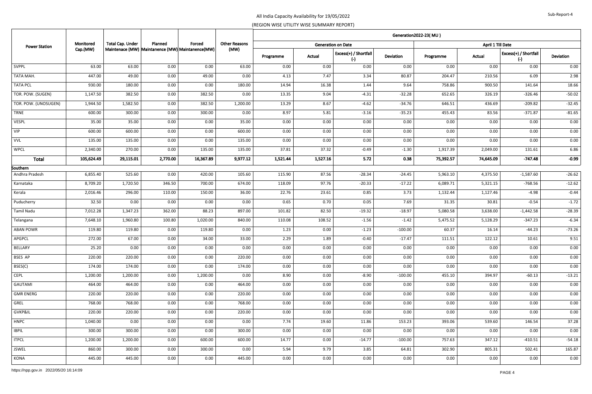|                      |            |                         |                                                   |           |                      | Generation2022-23(MU) |          |                                |           |           |                   |                                |                  |  |  |
|----------------------|------------|-------------------------|---------------------------------------------------|-----------|----------------------|-----------------------|----------|--------------------------------|-----------|-----------|-------------------|--------------------------------|------------------|--|--|
| <b>Power Station</b> | Monitored  | <b>Total Cap. Under</b> | Planned                                           | Forced    | <b>Other Reasons</b> |                       |          | <b>Generation on Date</b>      |           |           | April 1 Till Date |                                |                  |  |  |
|                      | Cap.(MW)   |                         | Maintenace (MW) Maintanence (MW) Maintanence (MW) |           | (MW)                 | Programme             | Actual   | Excess(+) / Shortfall<br>$(-)$ | Deviation | Programme | Actual            | Excess(+) / Shortfall<br>$(-)$ | <b>Deviation</b> |  |  |
| <b>SVPPL</b>         | 63.00      | 63.00                   | 0.00                                              | 0.00      | 63.00                | 0.00                  | 0.00     | 0.00                           | 0.00      | 0.00      | 0.00              | 0.00                           | 0.00             |  |  |
| TATA MAH.            | 447.00     | 49.00                   | 0.00                                              | 49.00     | 0.00                 | 4.13                  | 7.47     | 3.34                           | 80.87     | 204.47    | 210.56            | 6.09                           | 2.98             |  |  |
| <b>TATA PCL</b>      | 930.00     | 180.00                  | 0.00                                              | 0.00      | 180.00               | 14.94                 | 16.38    | 1.44                           | 9.64      | 758.86    | 900.50            | 141.64                         | 18.66            |  |  |
| TOR. POW. (SUGEN)    | 1,147.50   | 382.50                  | 0.00                                              | 382.50    | 0.00                 | 13.35                 | 9.04     | $-4.31$                        | $-32.28$  | 652.65    | 326.19            | $-326.46$                      | $-50.02$         |  |  |
| TOR. POW. (UNOSUGEN) | 1,944.50   | 1,582.50                | 0.00                                              | 382.50    | 1,200.00             | 13.29                 | 8.67     | $-4.62$                        | $-34.76$  | 646.51    | 436.69            | $-209.82$                      | $-32.45$         |  |  |
| <b>TRNE</b>          | 600.00     | 300.00                  | 0.00                                              | 300.00    | 0.00                 | 8.97                  | 5.81     | $-3.16$                        | $-35.23$  | 455.43    | 83.56             | $-371.87$                      | $-81.65$         |  |  |
| <b>VESPL</b>         | 35.00      | 35.00                   | 0.00                                              | 0.00      | 35.00                | 0.00                  | 0.00     | 0.00                           | 0.00      | 0.00      | 0.00              | 0.00                           | 0.00             |  |  |
| <b>VIP</b>           | 600.00     | 600.00                  | 0.00                                              | 0.00      | 600.00               | 0.00                  | 0.00     | 0.00                           | 0.00      | 0.00      | 0.00              | 0.00                           | 0.00             |  |  |
| <b>VVL</b>           | 135.00     | 135.00                  | 0.00                                              | 0.00      | 135.00               | 0.00                  | 0.00     | 0.00                           | 0.00      | 0.00      | 0.00              | 0.00                           | 0.00             |  |  |
| <b>WPCL</b>          | 2,340.00   | 270.00                  | 0.00                                              | 135.00    | 135.00               | 37.81                 | 37.32    | $-0.49$                        | $-1.30$   | 1,917.39  | 2,049.00          | 131.61                         | 6.86             |  |  |
| <b>Total</b>         | 105,624.49 | 29,115.01               | 2,770.00                                          | 16,367.89 | 9,977.12             | 1,521.44              | 1,527.16 | 5.72                           | 0.38      | 75,392.57 | 74,645.09         | $-747.48$                      | $-0.99$          |  |  |
| Southern             |            |                         |                                                   |           |                      |                       |          |                                |           |           |                   |                                |                  |  |  |
| Andhra Pradesh       | 6,855.40   | 525.60                  | 0.00                                              | 420.00    | 105.60               | 115.90                | 87.56    | $-28.34$                       | $-24.45$  | 5,963.10  | 4,375.50          | $-1,587.60$                    | $-26.62$         |  |  |
| Karnataka            | 8,709.20   | 1,720.50                | 346.50                                            | 700.00    | 674.00               | 118.09                | 97.76    | $-20.33$                       | $-17.22$  | 6,089.71  | 5,321.15          | $-768.56$                      | $-12.62$         |  |  |
| Kerala               | 2,016.46   | 296.00                  | 110.00                                            | 150.00    | 36.00                | 22.76                 | 23.61    | 0.85                           | 3.73      | 1,132.44  | 1,127.46          | $-4.98$                        | $-0.44$          |  |  |
| Puducherry           | 32.50      | 0.00                    | 0.00                                              | 0.00      | 0.00                 | 0.65                  | 0.70     | 0.05                           | 7.69      | 31.35     | 30.81             | $-0.54$                        | $-1.72$          |  |  |
| Tamil Nadu           | 7,012.28   | 1,347.23                | 362.00                                            | 88.23     | 897.00               | 101.82                | 82.50    | $-19.32$                       | $-18.97$  | 5,080.58  | 3,638.00          | $-1,442.58$                    | $-28.39$         |  |  |
| Telangana            | 7,648.10   | 1,960.80                | 100.80                                            | 1,020.00  | 840.00               | 110.08                | 108.52   | $-1.56$                        | $-1.42$   | 5,475.52  | 5,128.29          | $-347.23$                      | $-6.34$          |  |  |
| <b>ABAN POWR</b>     | 119.80     | 119.80                  | 0.00                                              | 119.80    | 0.00                 | 1.23                  | 0.00     | $-1.23$                        | $-100.00$ | 60.37     | 16.14             | $-44.23$                       | $-73.26$         |  |  |
| <b>APGPCL</b>        | 272.00     | 67.00                   | 0.00                                              | 34.00     | 33.00                | 2.29                  | 1.89     | $-0.40$                        | $-17.47$  | 111.51    | 122.12            | 10.61                          | 9.51             |  |  |
| BELLARY              | 25.20      | 0.00                    | 0.00                                              | 0.00      | 0.00                 | 0.00                  | 0.00     | 0.00                           | 0.00      | 0.00      | 0.00              | 0.00                           | 0.00             |  |  |
| BSES AP              | 220.00     | 220.00                  | 0.00                                              | 0.00      | 220.00               | 0.00                  | 0.00     | 0.00                           | 0.00      | 0.00      | 0.00              | 0.00                           | 0.00             |  |  |
| BSES(C)              | 174.00     | 174.00                  | 0.00                                              | 0.00      | 174.00               | 0.00                  | 0.00     | 0.00                           | 0.00      | 0.00      | 0.00              | 0.00                           | 0.00             |  |  |
| <b>CEPL</b>          | 1,200.00   | 1,200.00                | 0.00                                              | 1,200.00  | 0.00                 | 8.90                  | 0.00     | $-8.90$                        | $-100.00$ | 455.10    | 394.97            | $-60.13$                       | $-13.21$         |  |  |
| GAUTAMI              | 464.00     | 464.00                  | 0.00                                              | 0.00      | 464.00               | 0.00                  | 0.00     | 0.00                           | 0.00      | 0.00      | 0.00              | 0.00                           | 0.00             |  |  |
| <b>GMR ENERG</b>     | 220.00     | 220.00                  | 0.00                                              | 0.00      | 220.00               | 0.00                  | 0.00     | 0.00                           | 0.00      | 0.00      | 0.00              | 0.00                           | 0.00             |  |  |
| GREL                 | 768.00     | 768.00                  | 0.00                                              | 0.00      | 768.00               | 0.00                  | 0.00     | 0.00                           | 0.00      | 0.00      | 0.00              | 0.00                           | 0.00             |  |  |
| GVKP&IL              | 220.00     | 220.00                  | 0.00                                              | 0.00      | 220.00               | 0.00                  | 0.00     | 0.00                           | 0.00      | 0.00      | 0.00              | 0.00                           | 0.00             |  |  |
| HNPC                 | 1,040.00   | 0.00                    | 0.00                                              | 0.00      | 0.00                 | 7.74                  | 19.60    | 11.86                          | 153.23    | 393.06    | 539.60            | 146.54                         | 37.28            |  |  |
| <b>IBPIL</b>         | 300.00     | 300.00                  | 0.00                                              | 0.00      | 300.00               | 0.00                  | 0.00     | 0.00                           | 0.00      | 0.00      | 0.00              | 0.00                           | 0.00             |  |  |
| <b>ITPCL</b>         | 1,200.00   | 1,200.00                | 0.00                                              | 600.00    | 600.00               | 14.77                 | 0.00     | $-14.77$                       | $-100.00$ | 757.63    | 347.12            | $-410.51$                      | $-54.18$         |  |  |
| JSWEL                | 860.00     | 300.00                  | 0.00                                              | 300.00    | 0.00                 | 5.94                  | 9.79     | 3.85                           | 64.81     | 302.90    | 805.31            | 502.41                         | 165.87           |  |  |
| KONA                 | 445.00     | 445.00                  | 0.00                                              | 0.00      | 445.00               | 0.00                  | 0.00     | 0.00                           | 0.00      | 0.00      | 0.00              | 0.00                           | 0.00             |  |  |
|                      |            |                         |                                                   |           |                      |                       |          |                                |           |           |                   |                                |                  |  |  |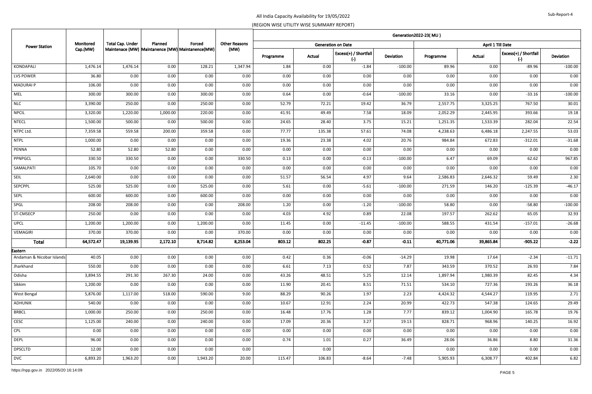| <b>Power Station</b>                 | Monitored<br>Cap.(MW) |                         | Planned<br>Maintenace (MW) Maintanence (MW) Maintanence (MW) |              |                      | Generation2022-23(MU) |              |                                |               |               |                   |                                |                  |  |  |
|--------------------------------------|-----------------------|-------------------------|--------------------------------------------------------------|--------------|----------------------|-----------------------|--------------|--------------------------------|---------------|---------------|-------------------|--------------------------------|------------------|--|--|
|                                      |                       | <b>Total Cap. Under</b> |                                                              | Forced       | <b>Other Reasons</b> |                       |              | <b>Generation on Date</b>      |               |               | April 1 Till Date |                                |                  |  |  |
|                                      |                       |                         |                                                              |              | (MW)                 | Programme             | Actual       | Excess(+) / Shortfall<br>$(-)$ | Deviation     | Programme     | Actual            | Excess(+) / Shortfall<br>$(-)$ | <b>Deviation</b> |  |  |
| KONDAPALI                            | 1,476.14              | 1,476.14                | 0.00                                                         | 128.21       | 1,347.94             | 1.84                  | 0.00         | $-1.84$                        | $-100.00$     | 89.96         | 0.00              | $-89.96$                       | $-100.00$        |  |  |
| LVS POWER                            | 36.80                 | 0.00                    | 0.00                                                         | 0.00         | 0.00                 | 0.00                  | 0.00         | 0.00                           | 0.00          | 0.00          | 0.00              | 0.00                           | 0.00             |  |  |
| <b>MADURAI P</b>                     | 106.00                | 0.00                    | 0.00                                                         | 0.00         | 0.00                 | 0.00                  | 0.00         | 0.00                           | 0.00          | 0.00          | 0.00              | 0.00                           | 0.00             |  |  |
| MEL                                  | 300.00                | 300.00                  | 0.00                                                         | 300.00       | 0.00                 | 0.64                  | 0.00         | $-0.64$                        | $-100.00$     | 33.16         | 0.00              | $-33.16$                       | $-100.00$        |  |  |
| <b>NLC</b>                           | 3,390.00              | 250.00                  | 0.00                                                         | 250.00       | 0.00                 | 52.79                 | 72.21        | 19.42                          | 36.79         | 2,557.75      | 3,325.25          | 767.50                         | 30.01            |  |  |
| <b>NPCIL</b>                         | 3,320.00              | 1,220.00                | 1,000.00                                                     | 220.00       | 0.00                 | 41.91                 | 49.49        | 7.58                           | 18.09         | 2,052.29      | 2,445.95          | 393.66                         | 19.18            |  |  |
| <b>NTECL</b>                         | 1,500.00              | 500.00                  | 0.00                                                         | 500.00       | 0.00                 | 24.65                 | 28.40        | 3.75                           | 15.21         | 1,251.35      | 1,533.39          | 282.04                         | 22.54            |  |  |
| NTPC Ltd.                            | 7,359.58              | 559.58                  | 200.00                                                       | 359.58       | 0.00                 | 77.77                 | 135.38       | 57.61                          | 74.08         | 4,238.63      | 6,486.18          | 2,247.55                       | 53.03            |  |  |
| <b>NTPL</b>                          | 1,000.00              | 0.00                    | 0.00                                                         | 0.00         | 0.00                 | 19.36                 | 23.38        | 4.02                           | 20.76         | 984.84        | 672.83            | $-312.01$                      | $-31.68$         |  |  |
| PENNA                                | 52.80                 | 52.80                   | 52.80                                                        | 0.00         | 0.00                 | 0.00                  | 0.00         | 0.00                           | 0.00          | 0.00          | 0.00              | 0.00                           | 0.00             |  |  |
| PPNPGCL                              | 330.50                | 330.50                  | 0.00                                                         | 0.00         | 330.50               | 0.13                  | 0.00         | $-0.13$                        | $-100.00$     | 6.47          | 69.09             | 62.62                          | 967.85           |  |  |
| SAMALPATI                            | 105.70                | 0.00                    | 0.00                                                         | 0.00         | 0.00                 | 0.00                  | 0.00         | 0.00                           | 0.00          | 0.00          | 0.00              | 0.00                           | $0.00\,$         |  |  |
| SEIL                                 | 2,640.00              | 0.00                    | 0.00                                                         | 0.00         | 0.00                 | 51.57                 | 56.54        | 4.97                           | 9.64          | 2,586.83      | 2,646.32          | 59.49                          | 2.30             |  |  |
| SEPCPPL                              | 525.00                | 525.00                  | 0.00                                                         | 525.00       | 0.00                 | 5.61                  | 0.00         | $-5.61$                        | $-100.00$     | 271.59        | 146.20            | $-125.39$                      | $-46.17$         |  |  |
| SEPL                                 | 600.00                | 600.00                  | 0.00                                                         | 600.00       | 0.00                 | 0.00                  | 0.00         | 0.00                           | 0.00          | 0.00          | 0.00              | 0.00                           | 0.00             |  |  |
| SPGL                                 | 208.00                | 208.00                  | 0.00                                                         | 0.00         | 208.00               | 1.20                  | 0.00         | $-1.20$                        | $-100.00$     | 58.80         | 0.00              | $-58.80$                       | $-100.00$        |  |  |
| ST-CMSECP                            | 250.00                | 0.00                    | 0.00                                                         | 0.00         | 0.00                 | 4.03                  | 4.92         | 0.89                           | 22.08         | 197.57        | 262.62            | 65.05                          | 32.93            |  |  |
| <b>UPCL</b>                          | 1,200.00              | 1,200.00                | 0.00                                                         | 1,200.00     | 0.00                 | 11.45                 | 0.00         | $-11.45$                       | $-100.00$     | 588.55        | 431.54            | $-157.01$                      | $-26.68$         |  |  |
| VEMAGIRI                             | 370.00                | 370.00                  | 0.00                                                         | 0.00         | 370.00               | 0.00                  | 0.00         | 0.00                           | 0.00          | 0.00          | 0.00              | 0.00                           | 0.00             |  |  |
| <b>Total</b>                         | 64,572.47             | 19,139.95               | 2,172.10                                                     | 8,714.82     | 8,253.04             | 803.12                | 802.25       | $-0.87$                        | $-0.11$       | 40,771.06     | 39,865.84         | $-905.22$                      | $-2.22$          |  |  |
| Eastern<br>Andaman & Nicobar Islands | 40.05                 | 0.00                    | 0.00                                                         | 0.00         | 0.00                 | 0.42                  | 0.36         | $-0.06$                        | $-14.29$      | 19.98         | 17.64             | $-2.34$                        | $-11.71$         |  |  |
| Jharkhand                            | 550.00                | 0.00                    | 0.00                                                         | 0.00         | 0.00                 | 6.61                  | 7.13         | 0.52                           | 7.87          | 343.59        | 370.52            | 26.93                          | 7.84             |  |  |
| Odisha                               | 3,894.55              | 291.30                  | 267.30                                                       | 24.00        | 0.00                 | 43.26                 | 48.51        | 5.25                           | 12.14         | 1,897.94      | 1,980.39          | 82.45                          | 4.34             |  |  |
| Sikkim                               | 1,200.00              | 0.00                    | 0.00                                                         | 0.00         | 0.00                 | 11.90                 | 20.41        | 8.51                           | 71.51         | 534.10        | 727.36            | 193.26                         | 36.18            |  |  |
| West Bengal                          | 5,876.00              | 1,117.00                | 518.00                                                       | 590.00       | 9.00                 | 88.29                 | 90.26        | 1.97                           | 2.23          | 4,424.32      | 4,544.27          | 119.95                         | 2.71             |  |  |
| ADHUNIK                              | 540.00                | 0.00                    | 0.00                                                         | 0.00         | 0.00                 | 10.67                 | 12.91        | 2.24                           | 20.99         | 422.73        | 547.38            | 124.65                         | 29.49            |  |  |
| <b>BRBCL</b>                         | 1,000.00              | 250.00                  | 0.00                                                         | 250.00       | 0.00                 | 16.48                 | 17.76        | 1.28                           | 7.77          | 839.12        | 1,004.90          | 165.78                         | 19.76            |  |  |
| CESC                                 | 1,125.00              | 240.00                  | 0.00                                                         | 240.00       | 0.00                 | 17.09                 | 20.36        | 3.27                           | 19.13         | 828.71        | 968.96            | 140.25                         | 16.92            |  |  |
|                                      |                       |                         |                                                              |              |                      |                       |              |                                |               |               |                   |                                |                  |  |  |
| CPL<br>DEPL                          | 0.00<br>96.00         | 0.00<br>0.00            | 0.00<br>0.00                                                 | 0.00<br>0.00 | 0.00<br>0.00         | 0.00<br>0.74          | 0.00<br>1.01 | 0.00<br>0.27                   | 0.00<br>36.49 | 0.00<br>28.06 | 0.00<br>36.86     | 0.00<br>8.80                   | 0.00             |  |  |
|                                      | 12.00                 | 0.00                    | 0.00                                                         |              |                      |                       |              |                                |               |               |                   |                                | 31.36            |  |  |
| <b>DPSCLTD</b>                       |                       |                         |                                                              | 0.00         | 0.00                 |                       | 0.00         |                                |               | 0.00          | 0.00              | 0.00                           | 0.00             |  |  |
| <b>DVC</b>                           | 6,893.20              | 1,963.20                | 0.00                                                         | 1,943.20     | 20.00                | 115.47                | 106.83       | $-8.64$                        | $-7.48$       | 5,905.93      | 6,308.77          | 402.84                         | 6.82             |  |  |